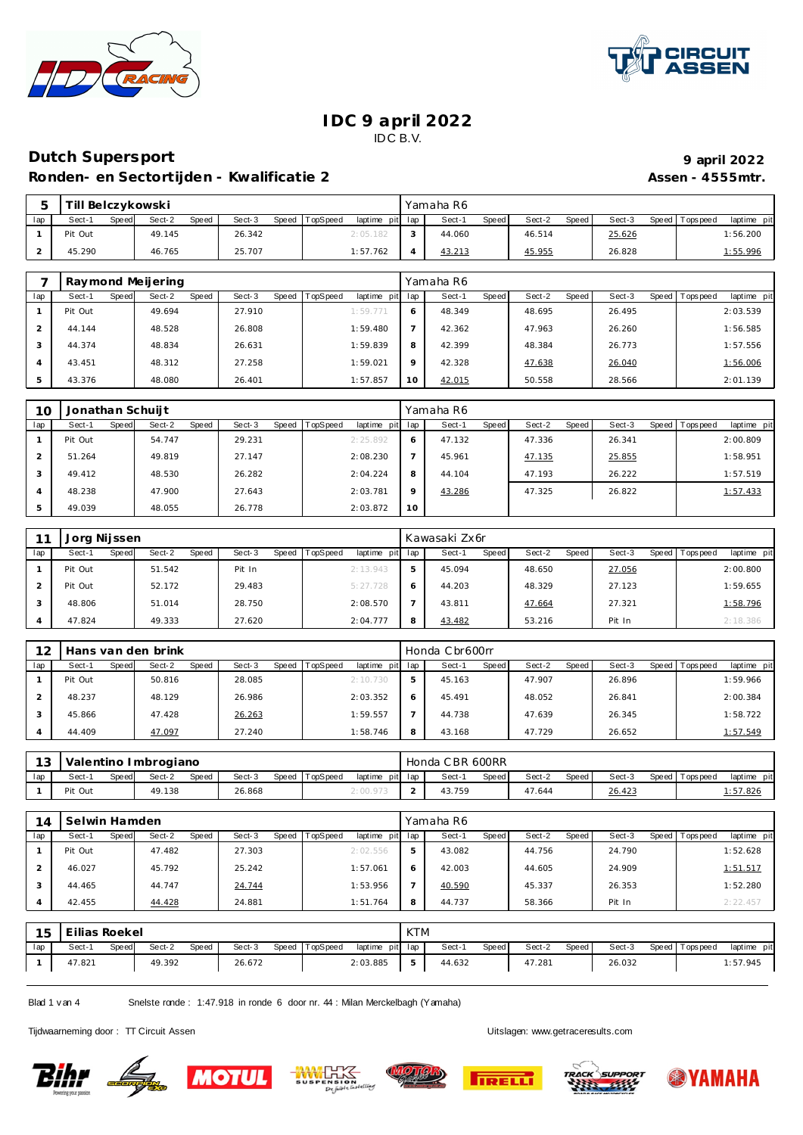



## **Dutch Supersport 9 april 2022**

Ronden- en Sectortijden - Kwalificatie 2 **Assen - 4555mtr.** Assen - 4555mtr.

|     | Till<br>l Belczykowski |                 |        |                                   | Yamaha R6       |                 |        |                                |
|-----|------------------------|-----------------|--------|-----------------------------------|-----------------|-----------------|--------|--------------------------------|
| lap | Sect-'<br>Speed        | Sect-2<br>Speed | Sect-3 | Speed TopSpeed<br>laptime pit lap | Sect-'<br>Speed | Speed<br>Sect-2 | Sect-3 | Speed Tops peed<br>laptime pit |
|     | Pit Out                | 49.145          | 26.342 | 2:05.182                          | 44.060          | 46.514          | 25.626 | 1:56.200                       |
|     | 45.290                 | 46.765          | 25.707 | 1:57.762                          | 43.213          | 45.955          | 26.828 | <u>1:55.996</u>                |

|     | Raymond Meijering |                 |        |                               |         | Yamaha R6       |                 |        |                               |
|-----|-------------------|-----------------|--------|-------------------------------|---------|-----------------|-----------------|--------|-------------------------------|
| lap | Speed<br>Sect-1   | Sect-2<br>Speed | Sect-3 | Speed TopSpeed<br>laptime pit | lap     | Speed<br>Sect-1 | Speed<br>Sect-2 | Sect-3 | Speed Topspeed<br>laptime pit |
|     | Pit Out           | 49.694          | 27.910 | 1:59.771                      | O       | 48.349          | 48.695          | 26.495 | 2:03.539                      |
|     | 44.144            | 48.528          | 26.808 | 1:59.480                      |         | 42.362          | 47.963          | 26.260 | 1:56.585                      |
| 3   | 44.374            | 48.834          | 26.631 | 1:59.839                      | 8       | 42.399          | 48.384          | 26.773 | 1:57.556                      |
|     | 43.451            | 48.312          | 27.258 | 1:59.021                      | $\circ$ | 42.328          | 47.638          | 26.040 | 1:56.006                      |
| 5   | 43.376            | 48.080          | 26.401 | 1:57.857                      | 10      | 42.015          | 50.558          | 28.566 | 2:01.139                      |

| 10             | Jonathan Schuijt |       |        |       |        |       |          |                 |         | Yamaha R6 |       |        |       |        |                |             |
|----------------|------------------|-------|--------|-------|--------|-------|----------|-----------------|---------|-----------|-------|--------|-------|--------|----------------|-------------|
| lap            | Sect-1           | Speed | Sect-2 | Speed | Sect-3 | Speed | TopSpeed | laptime pit lap |         | Sect-1    | Speed | Sect-2 | Speed | Sect-3 | Speed Topspeed | laptime pit |
|                | Pit Out          |       | 54.747 |       | 29.231 |       |          | 2:25.892        | O       | 47.132    |       | 47.336 |       | 26.341 |                | 2:00.809    |
|                | 51.264           |       | 49.819 |       | 27.147 |       |          | 2:08.230        |         | 45.961    |       | 47.135 |       | 25.855 |                | 1:58.951    |
| 3              | 49.412           |       | 48.530 |       | 26.282 |       |          | 2:04.224        | 8       | 44.104    |       | 47.193 |       | 26.222 |                | 1:57.519    |
| $\overline{A}$ | 48.238           |       | 47.900 |       | 27.643 |       |          | 2:03.781        | $\circ$ | 43.286    |       | 47.325 |       | 26.822 |                | 1:57.433    |
|                | 49.039           |       | 48.055 |       | 26.778 |       |          | 2:03.872        | 10      |           |       |        |       |        |                |             |

|     | Jorg Nijssen |       |        |       |        |       |          |                 |   | Kawasaki Zx6r |              |        |       |        |                |             |
|-----|--------------|-------|--------|-------|--------|-------|----------|-----------------|---|---------------|--------------|--------|-------|--------|----------------|-------------|
| lap | Sect-1       | Speed | Sect-2 | Speed | Sect-3 | Speed | TopSpeed | laptime pit lap |   | Sect-1        | <b>Speed</b> | Sect-2 | Speed | Sect-3 | Speed Topspeed | laptime pit |
|     | Pit Out      |       | 51.542 |       | Pit In |       |          | 2:13.943        | 5 | 45.094        |              | 48.650 |       | 27.056 |                | 2:00.800    |
|     | Pit Out      |       | 52.172 |       | 29.483 |       |          | 5:27.728        |   | 44.203        |              | 48.329 |       | 27.123 |                | 1:59.655    |
|     | 48.806       |       | 51.014 |       | 28.750 |       |          | 2:08.570        |   | 43.811        |              | 47.664 |       | 27.321 |                | 1:58.796    |
|     | 47.824       |       | 49.333 |       | 27.620 |       |          | 2:04.777        | 8 | 43.482        |              | 53.216 |       | Pit In |                | 2:18.386    |

| 12  | Hans van den brink |       |        |       |        |       |                 |                 | Honda Cbr600rr |       |        |       |        |                 |             |
|-----|--------------------|-------|--------|-------|--------|-------|-----------------|-----------------|----------------|-------|--------|-------|--------|-----------------|-------------|
| lap | Sect-1             | Speed | Sect-2 | Speed | Sect-3 | Speed | <b>TopSpeed</b> | laptime pit lap | Sect-1         | Speed | Sect-2 | Speed | Sect-3 | Speed Tops peed | laptime pit |
|     | Pit Out            |       | 50.816 |       | 28.085 |       |                 | 2:10.730        | 45.163         |       | 47.907 |       | 26.896 |                 | 1:59.966    |
|     | 48.237             |       | 48.129 |       | 26.986 |       |                 | 2:03.352        | 45.491         |       | 48.052 |       | 26.841 |                 | 2:00.384    |
|     | 45.866             |       | 47.428 |       | 26.263 |       |                 | 1:59.557        | 44.738         |       | 47.639 |       | 26.345 |                 | 1:58.722    |
|     | 44.409             |       | 47.097 |       | 27.240 |       |                 | 1:58.746        | 43.168         |       | 47.729 |       | 26.652 |                 | 1:57.549    |

| 13 <sup>1</sup> |         |       | Valentino Imbrogiano |              |        |         |          |                 | Honda CBR 600RR |       |        |       |        |                   |             |
|-----------------|---------|-------|----------------------|--------------|--------|---------|----------|-----------------|-----------------|-------|--------|-------|--------|-------------------|-------------|
| lap             | Sect-1  | Speed | Sect-2               | <b>Speed</b> | Sect-3 | Speed I | TopSpeed | laptime pit lap | Sect-           | Speed | Sect-2 | Speed | Sect-3 | Speed   Tops peed | laptime pit |
|                 | Pit Out |       | 49.138               |              | 26.868 |         |          | 2:00.973        | 43.759          |       | 47.644 |       | 26.423 |                   | 1.57.826    |

| 14  | Selwin Hamden |       |        |       |        |           |                 |             |     | Yamaha R6 |       |        |       |        |                 |             |
|-----|---------------|-------|--------|-------|--------|-----------|-----------------|-------------|-----|-----------|-------|--------|-------|--------|-----------------|-------------|
| lap | Sect-1        | Speed | Sect-2 | Speed | Sect-3 | Speed   T | <b>TopSpeed</b> | laptime pit | lap | Sect-1    | Speed | Sect-2 | Speed | Sect-3 | Speed Tops peed | laptime pit |
|     | Pit Out       |       | 47.482 |       | 27.303 |           |                 | 2:02.556    |     | 43.082    |       | 44.756 |       | 24.790 |                 | 1:52.628    |
|     | 46.027        |       | 45.792 |       | 25.242 |           |                 | 1:57.061    |     | 42.003    |       | 44.605 |       | 24.909 |                 | 1:51.517    |
|     | 44.465        |       | 44.747 |       | 24.744 |           |                 | 1:53.956    |     | 40.590    |       | 45.337 |       | 26.353 |                 | 1:52.280    |
|     | 42.455        |       | 44.428 |       | 24.881 |           |                 | 1:51.764    | 8   | 44.737    |       | 58.366 |       | Pit In |                 | 2:22.457    |

| 15  | Eilias Roekel |       |        |              |        |                |                 | <b>KTM</b> |        |       |        |       |        |                   |             |
|-----|---------------|-------|--------|--------------|--------|----------------|-----------------|------------|--------|-------|--------|-------|--------|-------------------|-------------|
| lap | Sect-1        | Speed | Sect-2 | <b>Speed</b> | Sect-3 | Speed TopSpeed | laptime pit lap |            | Sect-  | Speed | Sect-2 | Speed | Sect-3 | Speed   Tops peed | laptime pit |
|     | 47.821        |       | 49.392 |              | 26.672 |                | 2:03.885        |            | 44.632 |       | 47.281 |       | 26.032 |                   | 1:57.945    |

Blad 1 v an 4 Snelste ronde : 1:47.918 in ronde 6 door nr. 44 : Milan Merckelbagh (Y amaha)









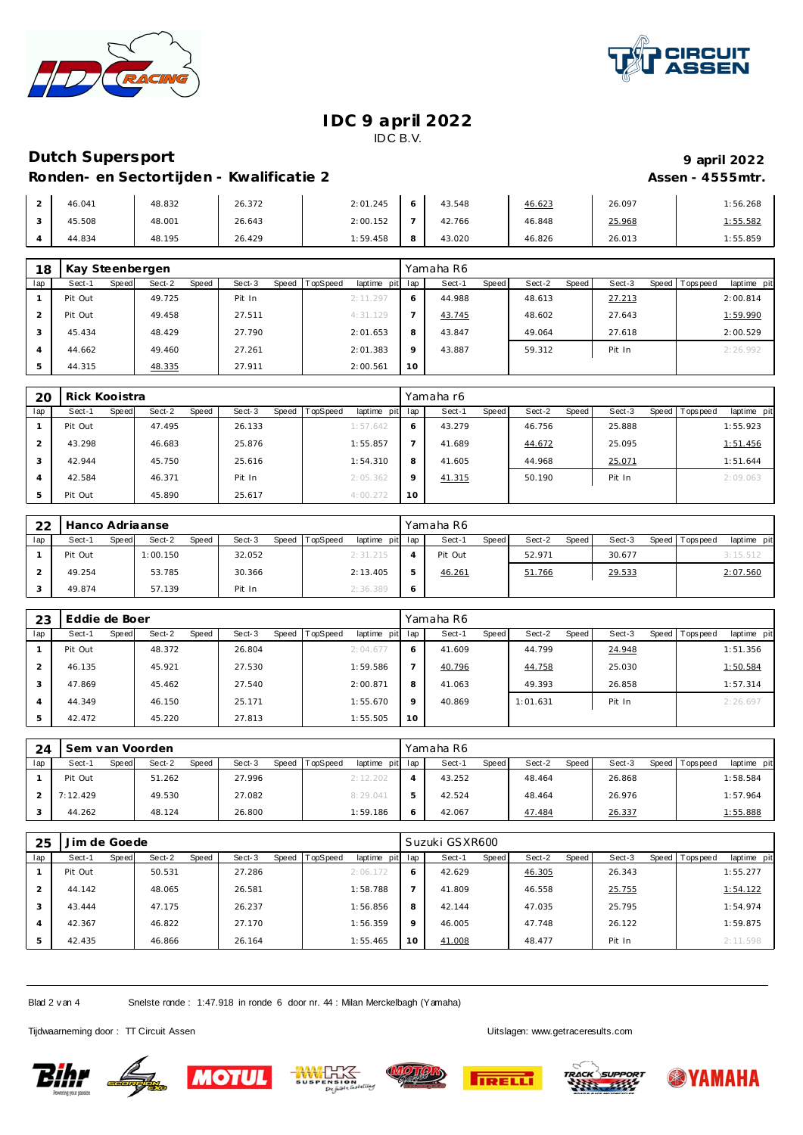



## **Dutch Supersport 9 april 2022**

### Ronden- en Sectortijden - Kwalificatie 2 **Assen - 4555mtr.** Assen - 4555mtr.

| 46.041 | 48.832 | 26.372 | 2:01.245 | 43.548 | 46.623 | 26.097 | 1:56.268         |
|--------|--------|--------|----------|--------|--------|--------|------------------|
| 45.508 | 48.001 | 26.643 | 2:00.152 | 42.766 | 46.848 | 25.968 | <u> : 55.582</u> |
| 44.834 | 48.195 | 26.429 | 1:59.458 | 43.020 | 46.826 | 26.013 | 1:55.859         |

| 18             | Kay Steenbergen |                 |                 |                         |     | Yamaha R6       |                 |                 |                          |
|----------------|-----------------|-----------------|-----------------|-------------------------|-----|-----------------|-----------------|-----------------|--------------------------|
| lap            | Speed<br>Sect-1 | Sect-2<br>Speed | Sect-3<br>Speed | TopSpeed<br>laptime pit | lap | Speed<br>Sect-1 | Sect-2<br>Speed | Sect-3<br>Speed | Tops peed<br>laptime pit |
|                | Pit Out         | 49.725          | Pit In          | 2:11.297                | 6   | 44.988          | 48.613          | 27.213          | 2:00.814                 |
|                | Pit Out         | 49.458          | 27.511          | 4:31.129                |     | 43.745          | 48.602          | 27.643          | 1:59.990                 |
| 3              | 45.434          | 48.429          | 27.790          | 2:01.653                | 8   | 43.847          | 49.064          | 27.618          | 2:00.529                 |
| $\overline{A}$ | 44.662          | 49.460          | 27.261          | 2:01.383                | 9   | 43.887          | 59.312          | Pit In          | 2:26.992                 |
|                | 44.315          | 48.335          | 27.911          | 2:00.561                | 10  |                 |                 |                 |                          |

| 20  | Rick Kooistra   |                 |                 |                             |         | Yamaha r6       |                 |        |                                |
|-----|-----------------|-----------------|-----------------|-----------------------------|---------|-----------------|-----------------|--------|--------------------------------|
| lap | Sect-1<br>Speed | Sect-2<br>Speed | Sect-3<br>Speed | TopSpeed<br>laptime pit lap |         | Sect-1<br>Speed | Sect-2<br>Speed | Sect-3 | Speed Tops peed<br>laptime pit |
|     | Pit Out         | 47.495          | 26.133          | 1:57.642                    | O       | 43.279          | 46.756          | 25.888 | 1:55.923                       |
|     | 43.298          | 46.683          | 25.876          | 1:55.857                    |         | 41.689          | 44.672          | 25.095 | 1:51.456                       |
|     | 42.944          | 45.750          | 25.616          | 1:54.310                    | 8       | 41.605          | 44.968          | 25.071 | 1:51.644                       |
|     | 42.584          | 46.371          | Pit In          | 2:05.362                    | $\circ$ | 41.315          | 50.190          | Pit In | 2:09.063                       |
|     | Pit Out         | 45.890          | 25.617          | 4:00.272                    | 10      |                 |                 |        |                                |

| 22  | Hanco Adriaanse |       |          |              |        |       |          |                 |   | Yamaha R6 |         |        |         |        |                 |             |
|-----|-----------------|-------|----------|--------------|--------|-------|----------|-----------------|---|-----------|---------|--------|---------|--------|-----------------|-------------|
| lap | Sect-1          | Speed | Sect-2   | <b>Speed</b> | Sect-3 | Speed | TopSpeed | laptime pit lap |   | Sect-1    | Speed I | Sect-2 | Speed I | Sect-3 | Speed Tops peed | laptime pit |
|     | Pit Out         |       | 1:00.150 |              | 32.052 |       |          | 2:31.215        | 4 | Pit Out   |         | 52.971 |         | 30.677 |                 | 3:15.512    |
|     | 49.254          |       | 53.785   |              | 30.366 |       |          | 2:13.405        |   | 46.261    |         | 51.766 |         | 29.533 |                 | 2:07.560    |
|     | 49.874          |       | 57.139   |              | Pit In |       |          | 2:36.389        |   |           |         |        |         |        |                 |             |

| 23             | Eddie de Boer |       |        |       |        |       |                 |             |         | Yamaha R6 |       |          |       |        |                |             |
|----------------|---------------|-------|--------|-------|--------|-------|-----------------|-------------|---------|-----------|-------|----------|-------|--------|----------------|-------------|
| lap            | Sect-1        | Speed | Sect-2 | Speed | Sect-3 | Speed | <b>TopSpeed</b> | laptime pit | lap     | Sect-1    | Speed | Sect-2   | Speed | Sect-3 | Speed Topspeed | laptime pit |
|                | Pit Out       |       | 48.372 |       | 26.804 |       |                 | 2:04.677    | O       | 41.609    |       | 44.799   |       | 24.948 |                | 1:51.356    |
|                | 46.135        |       | 45.921 |       | 27.530 |       |                 | 1:59.586    |         | 40.796    |       | 44.758   |       | 25.030 |                | 1:50.584    |
| 3              | 47.869        |       | 45.462 |       | 27.540 |       |                 | 2:00.871    | 8       | 41.063    |       | 49.393   |       | 26.858 |                | 1:57.314    |
| $\overline{A}$ | 44.349        |       | 46.150 |       | 25.171 |       |                 | 1:55.670    | $\circ$ | 40.869    |       | 1:01.631 |       | Pit In |                | 2:26.697    |
|                | 42.472        |       | 45.220 |       | 27.813 |       |                 | 1:55.505    | 10      |           |       |          |       |        |                |             |

| 24  |          |       | Sem van Voorden |       |        |       |          |                 |         | Yamaha R6 |              |        |       |        |                 |             |
|-----|----------|-------|-----------------|-------|--------|-------|----------|-----------------|---------|-----------|--------------|--------|-------|--------|-----------------|-------------|
| lap | Sect-1   | Speed | Sect-2          | Speed | Sect-3 | Speed | TopSpeed | laptime pit lap |         | Sect-1    | <b>Speed</b> | Sect-2 | Speed | Sect-3 | Speed Tops peed | laptime pit |
|     | Pit Out  |       | 51.262          |       | 27.996 |       |          | 2:12.202        |         | 43.252    |              | 48.464 |       | 26.868 |                 | 1:58.584    |
|     | 7:12.429 |       | 49.530          |       | 27.082 |       |          | 8:29.041        | b       | 42.524    |              | 48.464 |       | 26.976 |                 | 1:57.964    |
|     | 44.262   |       | 48.124          |       | 26.800 |       |          | 1:59.186        | $\circ$ | 42.067    |              | 47.484 |       | 26.337 |                 | 1:55.888    |

| 25             | Jim de Goede |              |        |       |        |       |          |                 |         | Suzuki GSXR600 |       |        |       |        |                |             |
|----------------|--------------|--------------|--------|-------|--------|-------|----------|-----------------|---------|----------------|-------|--------|-------|--------|----------------|-------------|
| lap            | Sect-1       | <b>Speed</b> | Sect-2 | Speed | Sect-3 | Speed | TopSpeed | laptime pit lap |         | Sect-1         | Speed | Sect-2 | Speed | Sect-3 | Speed Topspeed | laptime pit |
|                | Pit Out      |              | 50.531 |       | 27.286 |       |          | 2:06.172        | O       | 42.629         |       | 46.305 |       | 26.343 |                | 1:55.277    |
|                | 44.142       |              | 48.065 |       | 26.581 |       |          | 1:58.788        |         | 41.809         |       | 46.558 |       | 25.755 |                | 1:54.122    |
| 3              | 43.444       |              | 47.175 |       | 26.237 |       |          | 1:56.856        | 8       | 42.144         |       | 47.035 |       | 25.795 |                | 1:54.974    |
| $\overline{A}$ | 42.367       |              | 46.822 |       | 27.170 |       |          | 1:56.359        | $\circ$ | 46.005         |       | 47.748 |       | 26.122 |                | 1:59.875    |
| 5              | 42.435       |              | 46.866 |       | 26.164 |       |          | 1:55.465        | 10      | 41.008         |       | 48.477 |       | Pit In |                | 2:11.598    |

Blad 2 v an 4 Snelste ronde : 1:47.918 in ronde 6 door nr. 44 : Milan Merckelbagh (Yamaha)











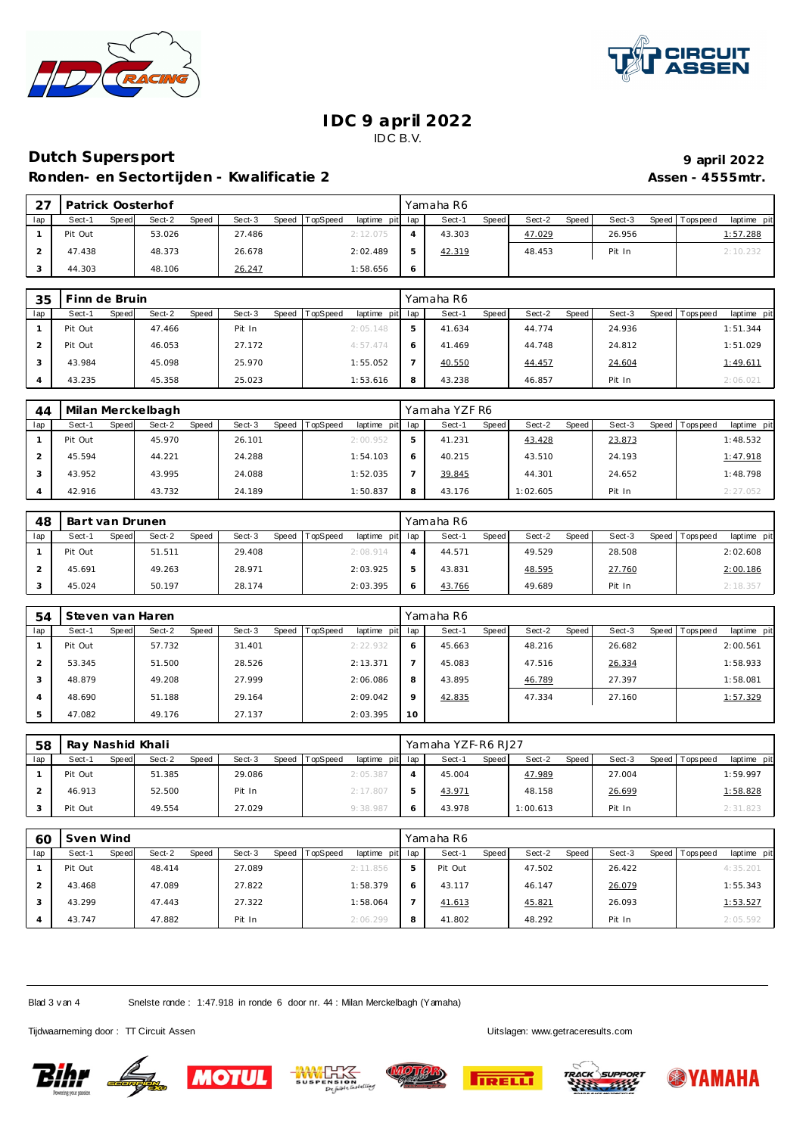



# **Dutch Supersport 9 april 2022**

Ronden- en Sectortijden - Kwalificatie 2 **Assen - 4555mtr.** Assen - 4555mtr.

| っっ  | Patrick Oosterhof |       |        |       |        |       |          |                 |   | Yamaha R6 |              |        |       |        |                 |             |
|-----|-------------------|-------|--------|-------|--------|-------|----------|-----------------|---|-----------|--------------|--------|-------|--------|-----------------|-------------|
| lap | Sect-1            | Speed | Sect-2 | Speed | Sect-3 | Speed | TopSpeed | laptime pit lap |   | Sect-1    | <b>Speed</b> | Sect-2 | Speed | Sect-3 | Speed Tops peed | laptime pit |
|     | Pit Out           |       | 53.026 |       | 27.486 |       |          | 2:12.075        |   | 43.303    |              | 47.029 |       | 26.956 |                 | 1:57.288    |
|     | 47.438            |       | 48.373 |       | 26.678 |       |          | 2:02.489        |   | 42.319    |              | 48.453 |       | Pit In |                 | 2:10.232    |
|     | 44.303            |       | 48.106 |       | 26.247 |       |          | 1:58.656        | O |           |              |        |       |        |                 |             |

| 35  | Finn de Bruin   |                 |        |                |                 |   | Yamaha R6 |              |        |       |        |                 |             |
|-----|-----------------|-----------------|--------|----------------|-----------------|---|-----------|--------------|--------|-------|--------|-----------------|-------------|
| lap | Speed<br>Sect-1 | Sect-2<br>Speed | Sect-3 | Speed TopSpeed | laptime pit lap |   | Sect-1    | <b>Speed</b> | Sect-2 | Speed | Sect-3 | Speed Tops peed | laptime pit |
|     | Pit Out         | 47.466          | Pit In |                | 2:05.148        | 5 | 41.634    |              | 44.774 |       | 24.936 |                 | 1:51.344    |
|     | Pit Out         | 46.053          | 27.172 |                | 4:57.474        | 6 | 41.469    |              | 44.748 |       | 24.812 |                 | 1:51.029    |
|     | 43.984          | 45.098          | 25.970 |                | 1:55.052        |   | 40.550    |              | 44.457 |       | 24.604 |                 | 1:49.611    |
|     | 43.235          | 45.358          | 25.023 |                | 1:53.616        | 8 | 43.238    |              | 46.857 |       | Pit In |                 | 2:06.021    |

| 44  | Milan Merckelbagh |                 |                 |                             |   | Yamaha YZF R6   |                 |        |                                |
|-----|-------------------|-----------------|-----------------|-----------------------------|---|-----------------|-----------------|--------|--------------------------------|
| lap | Sect-1<br>Speed   | Sect-2<br>Speed | Sect-3<br>Speed | TopSpeed<br>laptime pit lap |   | Speed<br>Sect-1 | Speed<br>Sect-2 | Sect-3 | Speed Tops peed<br>laptime pit |
|     | Pit Out           | 45.970          | 26.101          | 2:00.952                    | 5 | 41.231          | 43.428          | 23.873 | 1:48.532                       |
|     | 45.594            | 44.221          | 24.288          | 1:54.103                    | ō | 40.215          | 43.510          | 24.193 | 1:47.918                       |
|     | 43.952            | 43.995          | 24.088          | 1:52.035                    |   | 39.845          | 44.301          | 24.652 | 1:48.798                       |
|     | 42.916            | 43.732          | 24.189          | 1:50.837                    |   | 43.176          | 1:02.605        | Pit In | 2:27.052                       |

| 48  | Bart van Drunen |       |        |       |        |       |          |                 | Yamaha R6 |       |        |         |        |                 |             |
|-----|-----------------|-------|--------|-------|--------|-------|----------|-----------------|-----------|-------|--------|---------|--------|-----------------|-------------|
| lap | Sect-1          | Speed | Sect-2 | Speed | Sect-3 | Speed | TopSpeed | laptime pit lap | Sect-1    | Speed | Sect-2 | Speed I | Sect-3 | Speed Tops peed | laptime pit |
|     | Pit Out         |       | 51.511 |       | 29.408 |       |          | 2:08.914        | 44.571    |       | 49.529 |         | 28.508 |                 | 2:02.608    |
|     | 45.691          |       | 49.263 |       | 28.971 |       |          | 2:03.925        | 43.831    |       | 48.595 |         | 27.760 |                 | 2:00.186    |
|     | 45.024          |       | 50.197 |       | 28.174 |       |          | 2:03.395        | 43.766    |       | 49.689 |         | Pit In |                 | 2:18.357    |

| 54  |         |       | Steven van Haren |       |        |       |          |             |         | Yamaha R6 |       |        |       |        |       |           |             |
|-----|---------|-------|------------------|-------|--------|-------|----------|-------------|---------|-----------|-------|--------|-------|--------|-------|-----------|-------------|
| lap | Sect-1  | Speed | Sect-2           | Speed | Sect-3 | Speed | TopSpeed | laptime pit | lap     | Sect-1    | Speed | Sect-2 | Speed | Sect-3 | Speed | Tops peed | laptime pit |
|     | Pit Out |       | 57.732           |       | 31.401 |       |          | 2:22.932    | 6       | 45.663    |       | 48.216 |       | 26.682 |       |           | 2:00.561    |
|     | 53.345  |       | 51.500           |       | 28.526 |       |          | 2:13.371    |         | 45.083    |       | 47.516 |       | 26.334 |       |           | 1:58.933    |
| 3   | 48.879  |       | 49.208           |       | 27.999 |       |          | 2:06.086    | 8       | 43.895    |       | 46.789 |       | 27.397 |       |           | 1:58.081    |
| 4   | 48.690  |       | 51.188           |       | 29.164 |       |          | 2:09.042    | $\circ$ | 42.835    |       | 47.334 |       | 27.160 |       |           | 1:57.329    |
|     | 47.082  |       | 49.176           |       | 27.137 |       |          | 2:03.395    | 10      |           |       |        |       |        |       |           |             |

| 58  | Ray Nashid Khali |       |        |       |        |       |          |             |     | Yamaha YZF-R6 RJ27 |              |          |       |        |                 |             |
|-----|------------------|-------|--------|-------|--------|-------|----------|-------------|-----|--------------------|--------------|----------|-------|--------|-----------------|-------------|
| lap | Sect-1           | Speed | Sect-2 | Speed | Sect-3 | Speed | TopSpeed | laptime pit | lap | Sect-1             | <b>Speed</b> | Sect-2   | Speed | Sect-3 | Speed Tops peed | laptime pit |
|     | Pit Out          |       | 51.385 |       | 29.086 |       |          | 2:05.387    | 4   | 45.004             |              | 47.989   |       | 27.004 |                 | 1:59.997    |
|     | 46.913           |       | 52.500 |       | Pit In |       |          | 2:17.807    |     | 43.971             |              | 48.158   |       | 26.699 |                 | 1:58.828    |
|     | Pit Out          |       | 49.554 |       | 27.029 |       |          | 9:38.987    |     | 43.978             |              | 1:00.613 |       | Pit In |                 | 2:31.823    |

| 60  | Sven Wind |       |        |       |        |       |          |                 |   | Yamaha R6 |       |        |       |        |                |             |
|-----|-----------|-------|--------|-------|--------|-------|----------|-----------------|---|-----------|-------|--------|-------|--------|----------------|-------------|
| lap | Sect-1    | Speed | Sect-2 | Speed | Sect-3 | Speed | TopSpeed | laptime pit lap |   | Sect-1    | Speed | Sect-2 | Speed | Sect-3 | Speed Topspeed | laptime pit |
|     | Pit Out   |       | 48.414 |       | 27.089 |       |          | 2:11.856        | 5 | Pit Out   |       | 47.502 |       | 26.422 |                | 4:35.201    |
|     | 43.468    |       | 47.089 |       | 27.822 |       |          | 1:58.379        | 6 | 43.117    |       | 46.147 |       | 26.079 |                | 1:55.343    |
|     | 43.299    |       | 47.443 |       | 27.322 |       |          | 1:58.064        |   | 41.613    |       | 45.821 |       | 26.093 |                | 1:53.527    |
|     | 43.747    |       | 47.882 |       | Pit In |       |          | 2:06.299        | 8 | 41.802    |       | 48.292 |       | Pit In |                | 2:05.592    |

Blad 3 v an 4 Snelste ronde : 1:47.918 in ronde 6 door nr. 44 : Milan Merckelbagh (Yamaha)